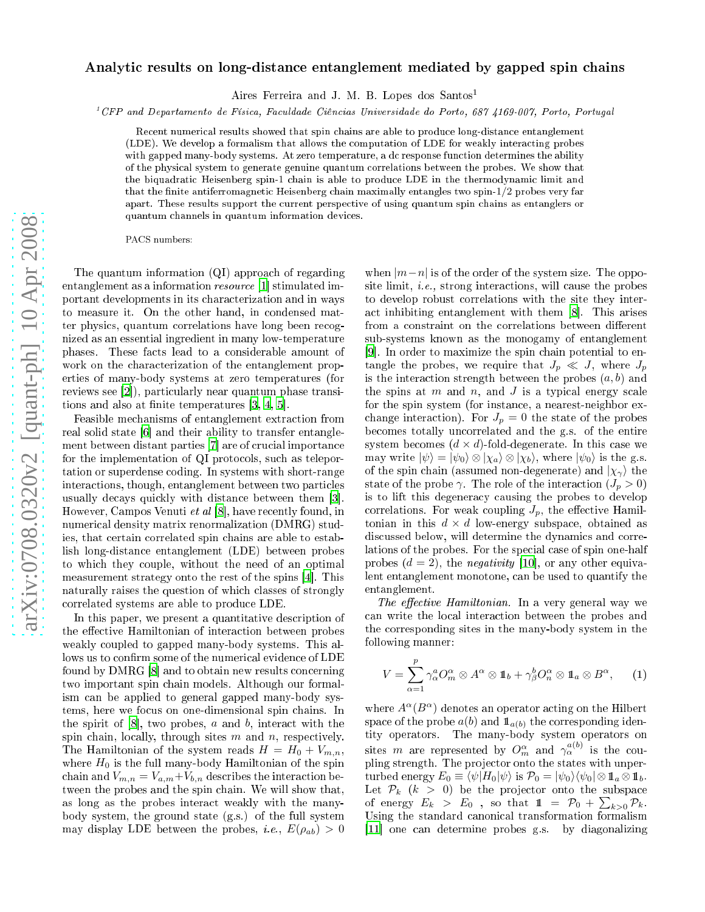## arXiv:0708.0320v2 [quant-ph] 10 Apr 2008 [arXiv:0708.0320v2 \[quant-ph\] 10 Apr 2008](http://arxiv.org/abs/0708.0320v2)

## Analytic results on long-distance entanglement mediated by gapped spin chains

Aires Ferreira and J. M. B. Lopes dos Santos<sup>1</sup>

<sup>1</sup> CFP and Departamento de Físi
a, Fa
uldade Ciên
ias Universidade do Porto, <sup>687</sup> 4169-007, Porto, Portugal

Recent numerical results showed that spin chains are able to produce long-distance entanglement (LDE). We develop a formalism that allows the omputation of LDE for weakly intera
ting probes with gapped many-body systems. At zero temperature, a dc response function determines the ability of the physi
al system to generate genuine quantum orrelations between the probes. We show that the biquadratic Heisenberg spin-1 chain is able to produce LDE in the thermodynamic limit and that the finite antiferromagnetic Heisenberg chain maximally entangles two spin-1/2 probes very far apart. These results support the current perspective of using quantum spin chains as entanglers or quantum hannels in quantum information devi
es.

PACS numbers:

The quantum information (QI) approa
h of regarding entanglement as a information  $resource$  [1] stimulated important developments in its hara
terization and in ways to measure it. On the other hand, in condensed matter physi
s, quantum orrelations have long been re
ognized as an essential ingredient in many low-temperature phases. These fa
ts lead to a onsiderable amount of work on the characterization of the entanglement properties of many-body systems at zero temperatures (for reviews see  $[2]$ , particularly near quantum phase transitions and also at finite temperatures  $[3, 4, 5]$  $[3, 4, 5]$  $[3, 4, 5]$  $[3, 4, 5]$  $[3, 4, 5]$  $[3, 4, 5]$ .

Feasible mechanisms of entanglement extraction from real solid state  $[6]$  $[6]$  and their ability to transfer entanglement between distant parties [7] are of crucial importance for the implementation of QI protocols, such as teleportation or superdense oding. In systems with short-range intera
tions, though, entanglement between two parti
les usually decays quickly with distance between them [3]. However, Campos Venuti et al  $[8]$  $[8]$ , have recently found, in numeri
al density matrix renormalization (DMRG) studies, that ertain orrelated spin hains are able to establish long-distan
e entanglement (LDE) between probes to whi
h they ouple, without the need of an optimal measurement strategy onto the rest of the spins [4]. This naturally raises the question of whi
h lasses of strongly orrelated systems are able to produ
e LDE.

In this paper, we present a quantitative description of the effective Hamiltonian of interaction between probes weakly oupled to gapped many-body systems. This allows us to confirm some of the numerical evidence of LDE found by DMRG [\[8](#page-3-7)] and to obtain new results concerning two important spin hain models. Although our formalism an be applied to general gapped many-body systems, here we focus on one-dimensional spin chains. In the spirit of  $[8]$ , two probes, a and b, interact with the spin chain, locally, through sites  $m$  and  $n$ , respectively. The Hamiltonian of the system reads  $H = H_0 + V_{m,n}$ , where  $H_0$  is the full many-body Hamiltonian of the spin chain and  $V_{m,n} = V_{a,m} + V_{b,n}$  describes the interaction between the probes and the spin chain. We will show that, as long as the probes intera
t weakly with the manybody system, the ground state (g.s.) of the full system may display LDE between the probes, *i.e.*,  $E(\rho_{ab}) > 0$ 

when  $|m-n|$  is of the order of the system size. The opposite limit, *i.e.*, strong interactions, will cause the probes to develop robust orrelations with the site they interact inhibiting entanglement with them  $|8|$ . This arises sub-systems known as the monogamy of entanglement  $|9|$ . In order to maximize the spin chain potential to entangle the probes, we require that  $J_p \ll J$ , where  $J_p$ is the interaction strength between the probes  $(a, b)$  and the spins at m and n, and J is a typical energy scale for the spin system (for instan
e, a nearest-neighbor ex change interaction). For  $J_p = 0$  the state of the probes be
omes totally un
orrelated and the g.s. of the entire system becomes  $(d \times d)$ -fold-degenerate. In this case we may write  $|\psi\rangle = |\psi_0\rangle \otimes |\chi_a\rangle \otimes |\chi_b\rangle$ , where  $|\psi_0\rangle$  is the g.s. of the spin chain (assumed non-degenerate) and  $|\chi_{\gamma}\rangle$  the state of the probe  $\gamma$ . The role of the interaction  $(J_p > 0)$ is to lift this degenera
y ausing the probes to develop correlations. For weak coupling  $J_p$ , the effective Hamiltonian in this  $d \times d$  low-energy subspace, obtained as discussed below, will determine the dynamics and correlations of the probes. For the special case of spin one-half probes  $(d = 2)$ , the *negativity* [10], or any other equivalent entanglement monotone, an be used to quantify the entanglement.

The effective Hamiltonian. In a very general way we an write the lo
al intera
tion between the probes and the orresponding sites in the many-body system in the following manner:

<span id="page-0-0"></span>
$$
V = \sum_{\alpha=1}^{p} \gamma_{\alpha}^{a} O_{m}^{\alpha} \otimes A^{\alpha} \otimes \mathbb{1}_{b} + \gamma_{\beta}^{b} O_{n}^{\alpha} \otimes \mathbb{1}_{a} \otimes B^{\alpha}, \qquad (1)
$$

where  $A^{\alpha}(B^{\alpha})$  denotes an operator acting on the Hilbert space of the probe  $a(b)$  and  $\mathbf{1}_{a(b)}$  the corresponding identity operators. The many-body system operators on sites m are represented by  $O_m^{\alpha}$  and  $\gamma_{\alpha}^{a(b)}$  is the coupling strength. The projector onto the states with unperturbed energy  $E_0 \equiv \langle \psi | H_0 | \psi \rangle$  is  $\mathcal{P}_0 = | \psi_0 \rangle \langle \psi_0 | \otimes 1 \hspace{0.1cm} \mathbb{1}_{a} \otimes 1 \hspace{0.1cm} \mathbb{1}_{b}$ . Let  $\mathcal{P}_k$  ( $k > 0$ ) be the projector onto the subspace of energy  $E_k > E_0$ , so that  $1 = \mathcal{P}_0 + \sum_{k>0} \mathcal{P}_k$ . Using the standard canonical transformation formalism [11] one can determine probes g.s. by diagonalizing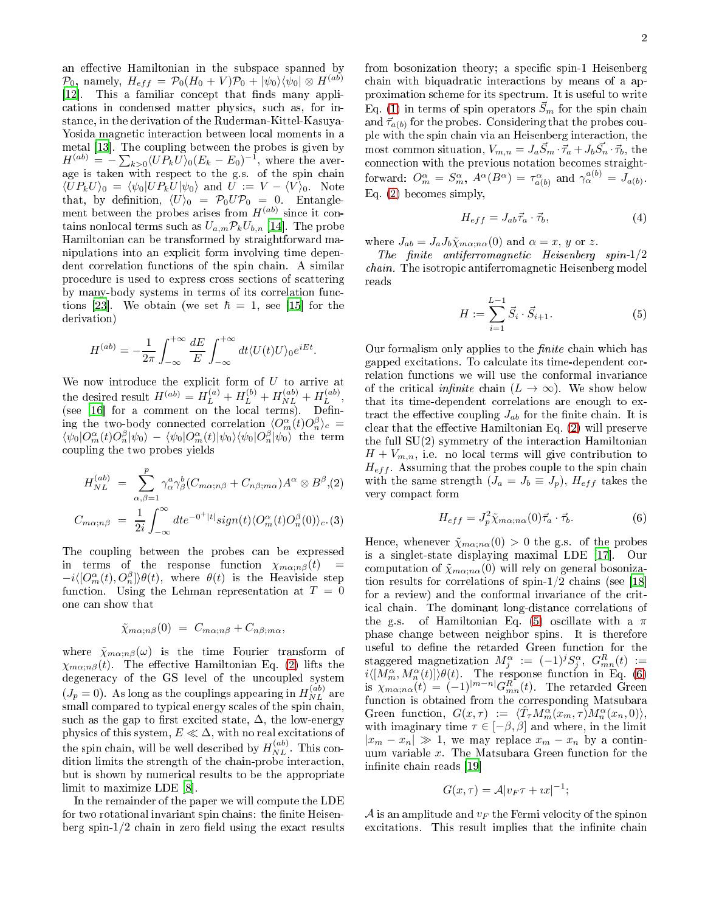an effective Hamiltonian in the subspace spanned by  $\mathcal{P}_0$  $\mathcal{P}_0$  $\mathcal{P}_0$ , namely,  $H_{eff} = \mathcal{P}_0(H_0 + V)\mathcal{P}_0 + |\psi_0\rangle\langle\psi_0| \otimes H^{(ab)}$  $[12]$ . This a familiar concept that finds many appliations in ondensed matter physi
s, su
h as, for instan
e, in the derivation of the Ruderman-Kittel-Kasuya-Yosida magnetic interaction between local moments in a metal [13]. The coupling between the probes is given by  $H^{(ab)} = -\sum_{k>0} \langle UP_k U \rangle_0 (E_k - E_0)^{-1}$ , where the average is taken with respe
t to the g.s. of the spin hain  $\langle UP_k U \rangle_0 = \langle \psi_0 | UP_k U | \psi_0 \rangle$  and  $U := V - \langle V \rangle_0$ . Note that, by definition,  $\langle U \rangle_0 = \mathcal{P}_0 U \mathcal{P}_0 = 0$ . Entanglement between the probes arises from  $H^{(ab)}$  since it contains nonlocal terms such as  $U_{a,m} \mathcal{P}_k U_{b,n}$  [14]. The probe Hamiltonian an be transformed by straightforward manipulations into an expli
it form involving time dependent correlation functions of the spin chain. A similar pro
edure is used to express ross se
tions of s
attering by many-body systems in terms of its correlation functions [23]. We obtain (we set  $\hbar = 1$ , see [\[15](#page-3-14)] for the derivation)

$$
H^{(ab)} = -\frac{1}{2\pi} \int_{-\infty}^{+\infty} \frac{dE}{E} \int_{-\infty}^{+\infty} dt \langle U(t)U \rangle_0 e^{iEt}.
$$

We now introduce the explicit form of  $U$  to arrive at the desired result  $H^{(ab)} = H_L^{(a)} + H_L^{(b)} + H_{NL}^{(ab)} + H_L^{(ab)}$  $L^{(ao)}$ ,  $\mathcal{S}$  for a form on the local terms). Denote the local terms of the local terms of the local terms. Denote the local terms of the local terms of the local terms. In the local terms of the local terms of the local terms ing the two-body connected correlation  $\langle O_m^{\alpha}(t)O_n^{\beta}\rangle_c =$  $\langle \psi_0|O_m^{\alpha}(t)O_n^{\beta}|\psi_0\rangle - \langle \psi_0|O_m^{\alpha}(t)|\psi_0\rangle\langle \psi_0|O_n^{\beta}|\psi_0\rangle$  the term oupling the two probes yields

<span id="page-1-0"></span>
$$
H_{NL}^{(ab)} = \sum_{\alpha,\beta=1}^{p} \gamma_{\alpha}^{a} \gamma_{\beta}^{b} (C_{m\alpha;n\beta} + C_{n\beta;m\alpha}) A^{\alpha} \otimes B^{\beta}, (2)
$$
  

$$
C_{m\alpha;n\beta} = \frac{1}{2i} \int_{-\infty}^{\infty} dt e^{-0^{+}|t|} sign(t) \langle O_{m}^{\alpha}(t) O_{n}^{\beta}(0) \rangle_{c}. (3)
$$

The oupling between the probes an be expressed in terms of the response function  $\chi_{m\alpha;n\beta}(t)$  $-i\langle [O_m^{\alpha}(t), O_n^{\beta}] \rangle \theta(t)$ , where  $\theta(t)$  is the Heaviside step function. Using the Lehman representation at  $T = 0$ one an show that

$$
\tilde{\chi}_{m\alpha;n\beta}(0) = C_{m\alpha;n\beta} + C_{n\beta;m\alpha},
$$

where  $\tilde{\chi}_{m\alpha; n\beta}(\omega)$  is the time Fourier transform of  $\chi_{m\alpha; n\beta}(t)$ . The effective Hamiltonian Eq. [\(2\)](#page-1-0) lifts the degeneracy of the GS level of the uncoupled system  $(J_p = 0)$ . As long as the couplings appearing in  $H_{NL}^{(ab)}$  $NL$  are small compared to typical energy scales of the spin chain, such as the gap to first excited state,  $\Delta$ , the low-energy physics of this system,  $E \ll \Delta$ , with no real excitations of the spin chain, will be well described by  $H_{NL}^{(ab)}$  $NL$  . This condition limits the strength of the chain-probe interaction, but is shown by numeri
al results to be the appropriate limit to maximize  $LDE[8]$  $LDE[8]$  $LDE[8]$ .

In the remainder of the paper we will ompute the LDE for two rotational invariant spin chains: the finite Heisenberg spin- $1/2$  chain in zero field using the exact results

from bosonization theory; a specific spin-1 Heisenberg chain with biquadratic interactions by means of a approximation s
heme for its spe
trum. It is useful to write Eq. [\(1\)](#page-0-0) in terms of spin operators  $\vec{S}_m$  for the spin chain and  $\vec{\tau}_{a(b)}$  for the probes. Considering that the probes couple with the spin hain via an Heisenberg intera
tion, the most common situation,  $V_{m,n} = J_a \vec{S}_m \cdot \vec{\tau}_a + J_b \vec{S}_n \cdot \vec{\tau}_b$ , the connection with the previous notation becomes straightforward:  $O_m^{\alpha} = S_m^{\alpha}, A^{\alpha}(B^{\alpha}) = \tau_{a(b)}^{\alpha}$  and  $\gamma_{\alpha}^{a(b)} = J_{a(b)}$ . Eq. [\(2\)](#page-1-0) be
omes simply,

$$
H_{eff} = J_{ab}\vec{\tau}_a \cdot \vec{\tau}_b,\tag{4}
$$

where  $J_{ab} = J_a J_b \tilde{\chi}_{m\alpha; n\alpha}(0)$  and  $\alpha = x, y$  or z.

The finite antiferromagnetic Heisenberg spin- $1/2$ chain. The isotropic antiferromagnetic Heisenberg model reads

<span id="page-1-1"></span>
$$
H := \sum_{i=1}^{L-1} \vec{S}_i \cdot \vec{S}_{i+1}.
$$
 (5)

Our formalism only applies to the *finite* chain which has gapped ex
itations. To al
ulate its time-dependent orrelation functions we will use the conformal invariance of the critical *infinite* chain  $(L \to \infty)$ . We show below that its time-dependent orrelations are enough to extract the effective coupling  $J_{ab}$  for the finite chain. It is clear that the effective Hamiltonian Eq.  $(2)$  will preserve the full  $SU(2)$  symmetry of the interaction Hamiltonian  $H + V_{m,n}$ , i.e. no local terms will give contribution to  $H_{eff}$ . Assuming that the probes couple to the spin chain with the same strength  $(J_a = J_b \equiv J_p)$ ,  $H_{eff}$  takes the very ompa
t form

<span id="page-1-2"></span>
$$
H_{eff} = J_p^2 \tilde{\chi}_{m\alpha; n\alpha}(0) \vec{\tau}_a \cdot \vec{\tau}_b.
$$
 (6)

Hence, whenever  $\tilde{\chi}_{m\alpha; n\alpha}(0) > 0$  the g.s. of the probes is a singlet-state displaying maximal LDE  $[17]$ . Our computation of  $\tilde{\chi}_{m\alpha; n\alpha}(0)$  will rely on general bosonization results for correlations of spin- $1/2$  chains (see [\[18](#page-3-17)] for a review) and the conformal invariance of the criti
al hain. The dominant long-distan
e orrelations of the g.s. of Hamiltonian Eq. [\(5\)](#page-1-1) oscillate with a  $\pi$ phase hange between neighbor spins. It is therefore staggered magnetization  $M_j^{\alpha} := (-1)^j S_j^{\alpha}, G_{mn}^R(t) :=$  $i\langle [M_m^{\alpha}, M_n^{\alpha}(t)]\rangle \theta(t)$ . The response function in Eq. [\(6\)](#page-1-2) is  $\chi_{m\alpha; n\alpha}(t) = (-1)^{|m-n|} G_{mn}^R(t)$ . The retarded Green fun
tion is obtained from the orresponding Matsubara Green function,  $G(x,\tau) := \langle \hat{T}_{\tau} M_m^{\alpha}(x_m,\tau) M_n^{\alpha}(x_n,0) \rangle$ , with imaginary time  $\tau \in [-\beta, \beta]$  and where, in the limit  $|x_m - x_n| \gg 1$ , we may replace  $x_m - x_n$  by a continuum variable  $x$ . The Matsubara Green function for the infinite chain reads [19]

$$
G(x,\tau) = A|v_F\tau + ix|^{-1};
$$

A is an amplitude and  $v_F$  the Fermi velocity of the spinon excitations. This result implies that the infinite chain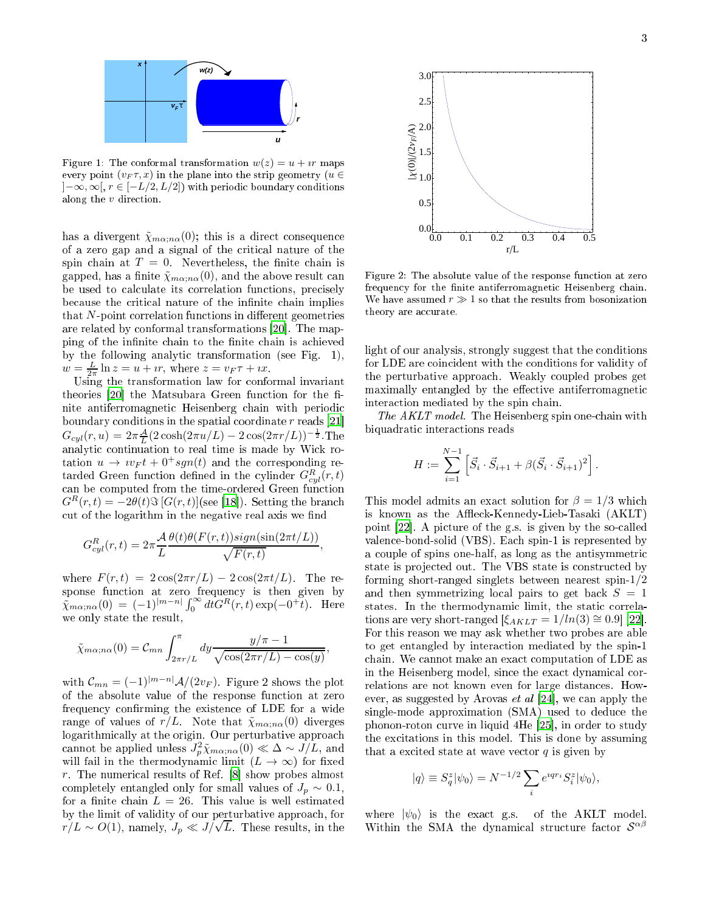

Figure 1: The conformal transformation  $w(z) = u + i r$  maps every point  $(v_F \tau, x)$  in the plane into the strip geometry  $(u \in$  $]-\infty,\infty[$ ,  $r \in [-L/2,L/2]$  with periodic boundary conditions along the  $v$  direction.

has a divergent  $\tilde{\chi}_{m\alpha; n\alpha}(0)$ ; this is a direct consequence of a zero gap and a signal of the riti
al nature of the spin chain at  $T = 0$ . Nevertheless, the finite chain is gapped, has a finite  $\tilde{\chi}_{m\alpha; n\alpha}(0)$ , and the above result can be used to calculate its correlation functions, precisely because the critical nature of the infinite chain implies that  $N$ -point correlation functions in different geometries are related by conformal transformations [20]. The mapping of the infinite chain to the finite chain is achieved by the following analyti transformation (see Fig. 1),  $w = \frac{L}{2\pi} \ln z = u + ir$ , where  $z = v_F \tau + ix$ .

Using the transformation law for conformal invariant theories  $[20]$  $[20]$  the Matsubara Green function for the finite antiferromagnetic Heisenberg chain with periodic boundary conditions in the spatial coordinate  $r$  reads [\[21](#page-4-1)]  $G_{cyl}(r, u) = 2\pi \frac{A}{L} (2 \cosh(2\pi u/L) - 2 \cos(2\pi r/L))^{-\frac{1}{2}}$ . The analytic continuation is completed by Michael time is the second time is  $\mathcal{S}^{\mathcal{A}}$ tation  $u \rightarrow v_F t + 0^+ sgn(t)$  and the corresponding retarded Green function defined in the cylinder  $G^R_{cyl}(r,t)$ an be omputed from the time-ordered Green fun
tion  $G^{R}(r,t) = -2\theta(t)\Im[G(r,t)]$  (see [\[18](#page-3-17)]). Setting the branch cut of the logarithm in the negative real axis we find

$$
G_{cyl}^{R}(r,t) = 2\pi \frac{\mathcal{A}}{L} \frac{\theta(t)\theta(F(r,t))sign(\sin(2\pi t/L))}{\sqrt{F(r,t)}},
$$

where  $F(r, t) = 2 \cos(2\pi r/L) - 2 \cos(2\pi t/L)$ . The response function at zero frequency is then given by  $\tilde{\chi}_{m\alpha; n\alpha}(0) = (-1)^{|m-n|} \int_0^{\infty} dt G^R(r, t) \exp(-0^{\frac{1}{l}}t)$ . Here we only state the result,

$$
\tilde{\chi}_{m\alpha;n\alpha}(0) = \mathcal{C}_{mn} \int_{2\pi r/L}^{\pi} dy \frac{y/\pi - 1}{\sqrt{\cos(2\pi r/L) - \cos(y)}},
$$

with  $\mathcal{C}_{mn} = (-1)^{|m-n|} \mathcal{A}/(2v_F)$ . Figure 2 shows the plot of the absolute value of the response fun
tion at zero frequency confirming the existence of LDE for a wide range of values of  $r/L$ . Note that  $\tilde{\chi}_{m\alpha; n\alpha}(0)$  diverges logarithmi
ally at the origin. Our perturbative approa
h cannot be applied unless  $J_p^2 \tilde{\chi}_{m\alpha; n\alpha}(0) \ll \Delta \sim J/L$ , and will fail in the thermodynamic limit  $(L \to \infty)$  for fixed r. The numerical results of Ref.  $[8]$  $[8]$  show probes almost completely entangled only for small values of  $J_p \sim 0.1$ , for a finite chain  $L = 26$ . This value is well estimated by the limit of validity of our perturbative approa
h, for  $r/L \sim O(1)$ , namely,  $J_p \ll J/\sqrt{L}$ . These results, in the



Figure 2: The absolute value of the response function at zero frequency for the finite antiferromagnetic Heisenberg chain. We have assumed  $r \gg 1$  so that the results from bosonization theory are accurate.

light of our analysis, strongly suggest that the conditions for LDE are coincident with the conditions for validity of the perturbative approa
h. Weakly oupled probes get maximally entangled by the effective antiferromagnetic intera
tion mediated by the spin hain.

The AKLT model. The Heisenberg spin one-chain with biquadratic interactions reads

$$
H := \sum_{i=1}^{N-1} \left[ \vec{S}_i \cdot \vec{S}_{i+1} + \beta (\vec{S}_i \cdot \vec{S}_{i+1})^2 \right].
$$

This model admits an exact solution for  $\beta = 1/3$  which is known as the Affleck-Kennedy-Lieb-Tasaki (AKLT) point [22]. A picture of the g.s. is given by the so-called valen
e-bond-solid (VBS). Ea
h spin-1 is represented by a ouple of spins one-half, as long as the antisymmetri state is projected out. The VBS state is constructed by forming short-ranged singlets between nearest spin-1/2 and then symmetrizing local pairs to get back  $S = 1$ states. In the thermodynamic limit, the static correlations are very short-ranged  $[\xi_{AKLT} = 1/ln(3) \approx 0.9]$  [22]. For this reason we may ask whether two probes are able to get entangled by intera
tion mediated by the spin-1 chain. We cannot make an exact computation of LDE as in the Heisenberg model, since the exact dynamical correlations are not known even for large distan
es. However, as suggested by Arovas *et al* [24], we can apply the single-mode approximation (SMA) used to deduce the phonon-roton curve in liquid 4He [25], in order to study the ex
itations in this model. This is done by assuming that a excited state at wave vector  $q$  is given by

$$
|q\rangle \equiv S^z_q|\psi_0\rangle = N^{-1/2}\sum_i e^{i q r_i} S^z_i |\psi_0\rangle,
$$

where  $|\psi_0\rangle$  is the exact g.s. of the AKLT model. Within the SMA the dynamical structure factor  $S^{\alpha\beta}$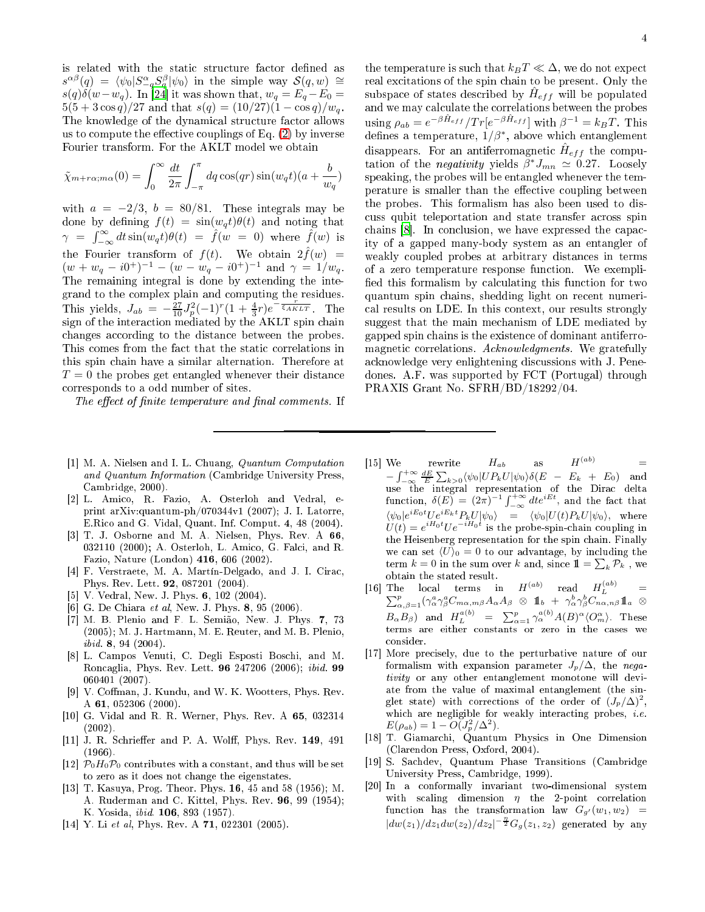is related with the static structure factor defined as  $s^{\alpha\beta}(q) = \langle \psi_0 | S^{\alpha}_{-q} S^{\beta}_{q} | \psi_0 \rangle$  $s^{\alpha\beta}(q) = \langle \psi_0 | S^{\alpha}_{-q} S^{\beta}_{q} | \psi_0 \rangle$  $s^{\alpha\beta}(q) = \langle \psi_0 | S^{\alpha}_{-q} S^{\beta}_{q} | \psi_0 \rangle$  in the simple way  $\mathcal{S}(q, w) \cong$  $s(q)\delta(w-w_q)$ . In [24] it was shown that,  $w_q = E_q - E_0 =$  $5(5 + 3\cos q)/27$  and that  $s(q) = (10/27)(1 - \cos q)/w_q$ . The knowledge of the dynamical structure factor allows us to compute the effective couplings of Eq.  $(2)$  by inverse Fourier transform. For the AKLT model we obtain

$$
\tilde{\chi}_{m+r\alpha;m\alpha}(0) = \int_0^\infty \frac{dt}{2\pi} \int_{-\pi}^\pi dq \cos(qr) \sin(w_qt)(a + \frac{b}{w_q})
$$

with  $a = -2/3$ ,  $b = 80/81$ . These integrals may be done by defining  $f(t) = sin(w_d t) \theta(t)$  and noting that  $\gamma = \int_{-\infty}^{\infty} dt \sin(w_q t) \theta(t) = \hat{f}(w = 0)$  where  $\hat{f}(w)$  is the Fourier transform of  $f(t)$ . We obtain  $2\hat{f}(w)$  =  $(w + w_q - i0^+)^{-1} - (w - w_q - i0^+)^{-1}$  and  $\gamma = 1/w_q$ . The remaining integral is done by extending the integrand to the omplex plain and omputing the residues. This yields,  $J_{ab} = -\frac{27}{10} J_p^2 (-1)^r (1 + \frac{4}{3}r)e^{-\frac{r}{5AKLT}}$ . The sign of the intera
tion mediated by the AKLT spin hain changes according to the distance between the probes. This comes from the fact that the static correlations in this spin hain have a similar alternation. Therefore at  $T=0$  the probes get entangled whenever their distance orresponds to a odd number of sites.

The effect of finite temperature and final comments. If

- <span id="page-3-0"></span>[1] M. A. Nielsen and I. L. Chuang, Quantum Computation and Quantum Information (Cambridge University Press, Cambridge, 2000).
- <span id="page-3-1"></span>[2] L. Amico, R. Fazio, A. Osterloh and Vedral, eprint arXiv:quantum-ph/070344v1 (2007); J. I. Latorre, E.Ri
o and G. Vidal, Quant. Inf. Comput. 4, 48 (2004).
- <span id="page-3-2"></span>[3] T. J. Osborne and M. A. Nielsen, Phys. Rev. A  $66$ , 032110 (2000); A. Osterloh, L. Amico, G. Falci, and R. Fazio, Nature (London) 416, 606 (2002).
- <span id="page-3-3"></span>[4] F. Verstraete, M. A. Martín-Delgado, and J. I. Cirac, Phys. Rev. Lett. 92, 087201 (2004).
- <span id="page-3-4"></span> $[5]$  V. Vedral, New. J. Phys. 6, 102 (2004).
- <span id="page-3-5"></span>[6] G. De Chiara et al, New. J. Phys.  $8, 95$  (2006).
- <span id="page-3-6"></span>[7] M. B. Plenio and F. L. Semião, New. J. Phys. 7, 73 (2005); M. J. Hartmann, M. E. Reuter, and M. B. Plenio, ibid. 8, 94 (2004).
- <span id="page-3-7"></span>[8] L. Campos Venuti, C. Degli Esposti Boschi, and M. Ron
aglia, Phys. Rev. Lett. <sup>96</sup> 247206 (2006); ibid. <sup>99</sup> 060401 (2007).
- <span id="page-3-8"></span>[9] V. Coffman, J. Kundu, and W. K. Wootters, Phys. Rev. A 61, 052306 (2000).
- <span id="page-3-9"></span> $[10]$  G. Vidal and R. R. Werner, Phys. Rev. A  $65$ , 032314 (2002).
- <span id="page-3-10"></span>[11] J. R. Schrieffer and P. A. Wolff, Phys. Rev. 149, 491  $(1966)$  $\sim$   $\sim$
- <span id="page-3-11"></span>[12]  $\mathcal{P}_0 H_0 \mathcal{P}_0$  contributes with a constant, and thus will be set to zero as it does not hange the eigenstates.
- <span id="page-3-12"></span>[13] T. Kasuya, Prog. Theor. Phys.  $16, 45$  and  $58$  (1956); M. A. Ruderman and C. Kittel, Phys. Rev. 96, 99 (1954); K. Yosida, ibid. 106, 893 (1957).
- <span id="page-3-13"></span>[14] Y. Li et al, Phys. Rev. A  $71$ , 022301 (2005).

the temperature is such that  $k_B T \ll \Delta$ , we do not expect real excitations of the spin chain to be present. Only the subspace of states described by  $\hat{H}_{eff}$  will be populated and we may calculate the correlations between the probes using  $\rho_{ab} = e^{-\beta \hat{H}_{eff}} / Tr[e^{-\beta \hat{H}_{eff}}]$  with  $\beta^{-1} = k_B T$ . This defines a temperature,  $1/\beta^*$ , above which entanglement disappears. For an antiferromagnetic  $\hat{H}_{eff}$  the computation of the *negativity* yields  $\beta^* J_{mn} \simeq 0.27$ . Loosely speaking, the probes will be entangled whenever the temperature is smaller than the effective coupling between the probes. This formalism has also been used to dis cuss qubit teleportation and state transfer across spin chains  $[8]$ . In conclusion, we have expressed the capacity of a gapped many-body system as an entangler of weakly oupled probes at arbitrary distan
es in terms of a zero temperature response fun
tion. We exempli fied this formalism by calculating this function for two quantum spin hains, shedding light on re
ent numeri al results on LDE. In this ontext, our results strongly suggest that the main me
hanism of LDE mediated by gapped spin hains is the existen
e of dominant antiferromagnetic correlations. Acknowledgments. We gratefully a
knowledge very enlightening dis
ussions with J. Penedones. A.F. was supported by FCT (Portugal) through PRAXIS Grant No. SFRH/BD/18292/04.

- <span id="page-3-14"></span> $[15] \text{ We} \qquad \text{rewrite} \qquad H_{ab} \qquad \text{ as } \qquad H^{(ab)} \qquad \qquad =$  $-\int_{-\infty}^{+\infty} \frac{dE}{E} \sum_{k>0} \langle \psi_0 | UP_k U | \psi_0 \rangle \delta(E - E_k + E_0)$  and use the integral representation of the Dirac of the Dirac function,  $\delta(E) = (2\pi)^{-1} \int_{-\infty}^{+\infty} dt e^{iEt}$ , and the fact that  $\langle \psi_0 | e^{iE_0t} U e^{iE_kt} P_k U |\psi_0 \rangle = \langle \psi_0 | U(t) P_k U |\psi_0 \rangle$ , where  $U(t) = e^{iH_0t}Ue^{-iH_0t}$  is the probe-spin-chain coupling in the Heisenberg representation for the spin hain. Finally we can set  $\langle U \rangle_0 = 0$  to our advantage, by including the  $\text{term } k = 0 \text{ in the sum over } k \text{ and, since } \mathbb{1} = \sum_k \mathcal{P}_k$  , we obtain the stated result.
- <span id="page-3-15"></span>[16] The local terms in  $H^{(ab)}$  read  $H^{(ab)}_L$  $\begin{array}{lll} {\rm The} & {\rm local} & {\rm terms} & {\rm in} & H^{(ab)} & {\rm read} & H^{(ab)}_{L} \ \sum_{\alpha,\beta=1}^{p}(\gamma_\alpha^a\gamma_\beta^aC_{m\alpha,m\beta}A_\alpha A_\beta\otimes1\!\!1_b\ +\ \gamma_\alpha^b\gamma_\beta^bC_{n\alpha,n\beta}1\!\!1_a\ \otimes \end{array}$  $B_{\alpha}B_{\beta}$ ) and  $H_L^{a(b)} = \sum_{\alpha=1}^p \gamma_{\alpha}^{a(b)} A(B)^{\alpha} \langle O_m^{\alpha} \rangle$ . These terms are either constants or zero in the cases we consider.
- <span id="page-3-16"></span>[17] More precisely, due to the perturbative nature of our formalism with expansion parameter  $J_p/\Delta$ , the negativity or any other entanglement monotone will deviate from the value of maximal entanglement (the singlet state) with corrections of the order of  $(J_p/\Delta)^2$ , which are negligible for weakly interacting probes, *i.e.*  $E(\rho_{ab}) = 1 - O(J_p^2/\Delta^2).$
- <span id="page-3-17"></span>[18] T. Giamarchi, Quantum Physics in One Dimension (Clarendon Press, Oxford, 2004).
- <span id="page-3-18"></span>[19] S. Sachdev, Quantum Phase Transitions (Cambridge) University Press, Cambridge, 1999).
- <span id="page-3-19"></span>[20] In a conformally invariant two-dimensional system with scaling dimension  $\eta$  the 2-point correlation function has the transformation law  $G_{q'}(w_1, w_2)$  =  $|dw(z_1)/dz_1dw(z_2)/dz_2|^{-\frac{\eta}{2}}G_g(z_1,z_2)$  generated by any